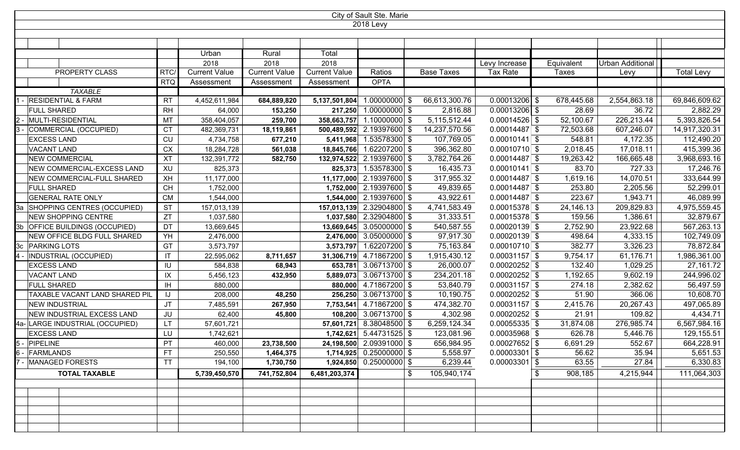|                      | City of Sault Ste. Marie          |                |                      |                      |                      |                 |    |                   |                 |               |                  |                   |
|----------------------|-----------------------------------|----------------|----------------------|----------------------|----------------------|-----------------|----|-------------------|-----------------|---------------|------------------|-------------------|
|                      | <b>2018 Levy</b>                  |                |                      |                      |                      |                 |    |                   |                 |               |                  |                   |
|                      |                                   |                |                      |                      |                      |                 |    |                   |                 |               |                  |                   |
|                      |                                   |                |                      |                      |                      |                 |    |                   |                 |               |                  |                   |
|                      |                                   |                | Urban                | Rural                | Total                |                 |    |                   |                 |               |                  |                   |
|                      |                                   |                | 2018                 | 2018                 | 2018                 |                 |    |                   | Levy Increase   | Equivalent    | Urban Additional |                   |
|                      | PROPERTY CLASS                    | RTC            | <b>Current Value</b> | <b>Current Value</b> | <b>Current Value</b> | Ratios          |    | <b>Base Taxes</b> | Tax Rate        | Taxes         | Levy             | <b>Total Levy</b> |
|                      |                                   | <b>RTQ</b>     | Assessment           | Assessment           | Assessment           | <b>OPTA</b>     |    |                   |                 |               |                  |                   |
|                      | <b>TAXABLE</b>                    |                |                      |                      |                      |                 |    |                   |                 |               |                  |                   |
| $\sim$               | <b>RESIDENTIAL &amp; FARM</b>     | <b>RT</b>      | 4,452,611,984        | 684,889,820          | 5,137,501,804        | $1.00000000$ \$ |    | 66,613,300.76     | $0.00013206$ \$ | 678,445.68    | 2,554,863.18     | 69,846,609.62     |
|                      | <b>FULL SHARED</b>                | <b>RH</b>      | 64,000               | 153,250              | 217,250              | $1.00000000$ \$ |    | 2,816.88          | $0.00013206$ \$ | 28.69         | 36.72            | 2,882.29          |
|                      | 2 - MULTI-RESIDENTIAL             | MT             | 358,404,057          | 259,700              | 358,663,757          | $1.10000000$ \$ |    | 5,115,512.44      | $0.00014526$ \$ | 52,100.67     | 226,213.44       | 5,393,826.54      |
|                      | COMMERCIAL (OCCUPIED)             | <b>CT</b>      | 482,369,731          | 18,119,861           | 500,489,592          | 2.19397600 \$   |    | 14,237,570.56     | $0.00014487$ \$ | 72,503.68     | 607,246.07       | 14,917,320.31     |
|                      | <b>EXCESS LAND</b>                | CU             | 4,734,758            | 677,210              | 5,411,968            | 1.53578300 \$   |    | 107,769.05        | $0.00010141$ \$ | 548.81        | 4,172.35         | 112,490.20        |
|                      | <b>VACANT LAND</b>                | <b>CX</b>      | 18,284,728           | 561,038              | 18,845,766           | 1.62207200 \$   |    | 396,362.80        | $0.00010710$ \$ | 2,018.45      | 17,018.11        | 415,399.36        |
|                      | <b>NEW COMMERCIAL</b>             | <b>XT</b>      | 132,391,772          | 582,750              | 132,974,522          | 2.19397600 \$   |    | 3,782,764.26      | $0.00014487$ \$ | 19,263.42     | 166,665.48       | 3,968,693.16      |
|                      | NEW COMMERCIAL-EXCESS LAND        | XU             | 825,373              |                      | 825,373              | 1.53578300 \$   |    | 16,435.73         | $0.00010141$ \$ | 83.70         | 727.33           | 17,246.76         |
|                      | NEW COMMERCIAL-FULL SHARED        | XH             | 11,177,000           |                      | 11,177,000           | 2.19397600 \$   |    | 317,955.32        | $0.00014487$ \$ | 1,619.16      | 14,070.51        | 333,644.99        |
|                      | <b>FULL SHARED</b>                | <b>CH</b>      | 1,752,000            |                      | 1,752,000            | 2.19397600 \$   |    | 49,839.65         | $0.00014487$ \$ | 253.80        | 2,205.56         | 52,299.01         |
|                      | <b>GENERAL RATE ONLY</b>          | <b>CM</b>      | 1,544,000            |                      | 1,544,000            | 2.19397600 \$   |    | 43,922.61         | $0.00014487$ \$ | 223.67        | 1,943.71         | 46,089.99         |
|                      | 3a SHOPPING CENTRES (OCCUPIED)    | <b>ST</b>      | 157,013,139          |                      | 157,013,139          | 2.32904800 \$   |    | 4,741,583.49      | $0.00015378$ \$ | 24,146.13     | 209,829.83       | 4,975,559.45      |
|                      | <b>NEW SHOPPING CENTRE</b>        | ZT             | 1,037,580            |                      | 1,037,580            | 2.32904800 \$   |    | 31,333.51         | $0.00015378$ \$ | 159.56        | 1,386.61         | 32,879.67         |
|                      | 3b OFFICE BUILDINGS (OCCUPIED)    | DT             | 13,669,645           |                      | 13,669,645           | $3.05000000$ \$ |    | 540,587.55        | $0.00020139$ \$ | 2,752.90      | 23,922.68        | 567,263.13        |
|                      | NEW OFFICE BLDG FULL SHARED       | YH             | 2,476,000            |                      | 2,476,000            | $3.05000000$ \$ |    | 97,917.30         | $0.00020139$ \$ | 498.64        | 4,333.15         | 102,749.09        |
|                      | 3c PARKING LOTS                   | GT             | 3,573,797            |                      | 3,573,797            | 1.62207200 \$   |    | 75,163.84         | $0.00010710$ \$ | 382.77        | 3,326.23         | 78,872.84         |
|                      | INDUSTRIAL (OCCUPIED)             | $ \mathsf{T} $ | 22,595,062           | 8,711,657            | 31,306,719           | 4.71867200 \$   |    | 1,915,430.12      | $0.00031157$ \$ | 9,754.17      | 61,176.71        | 1,986,361.00      |
|                      | <b>EXCESS LAND</b>                | IU             | 584,838              | 68,943               | 653,781              | $3.06713700$ \$ |    | 26,000.07         | $0.00020252$ \$ | 132.40        | 1,029.25         | 27,161.72         |
|                      | <b>VACANT LAND</b>                | IX             | 5,456,123            | 432,950              | 5,889,073            | 3.06713700 \$   |    | 234,201.18        | $0.00020252$ \$ | 1,192.65      | 9,602.19         | 244,996.02        |
|                      | <b>FULL SHARED</b>                | IH.            | 880,000              |                      | 880,000              | 4.71867200 \$   |    | 53,840.79         | $0.00031157$ \$ | 274.18        | 2,382.62         | 56,497.59         |
|                      | TAXABLE VACANT LAND SHARED PIL    | IJ             | 208,000              | 48,250               | 256,250              | $3.06713700$ \$ |    | 10,190.75         | $0.00020252$ \$ | 51.90         | 366.06           | 10,608.70         |
|                      | <b>NEW INDUSTRIAL</b>             | $\sf{JT}$      | 7,485,591            | 267,950              | 7,753,541            | 4.71867200 \$   |    | 474,382.70        | $0.00031157$ \$ | 2,415.76      | 20,267.43        | 497,065.89        |
|                      | <b>NEW INDUSTRIAL EXCESS LAND</b> | JU             | 62,400               | 45,800               | 108,200              | $3.06713700$ \$ |    | 4,302.98          | $0.00020252$ \$ | 21.91         | 109.82           | 4,434.71          |
|                      | 4a- LARGE INDUSTRIAL (OCCUPIED)   | <b>LT</b>      | 57,601,721           |                      | 57,601,721           | 8.38048500 \$   |    | 6,259,124.34      | $0.00055335$ \$ | 31,874.08     | 276,985.74       | 6,567,984.16      |
|                      | <b>EXCESS LAND</b>                | LU             | 1,742,621            |                      | 1,742,621            | $5.44731525$ \$ |    | 123,081.96        | $0.00035968$ \$ | 626.78        | 5,446.76         | 129, 155.51       |
|                      | 5 - PIPELINE                      | PT             | 460,000              | 23,738,500           | 24,198,500           | $2.09391000$ \$ |    | 656,984.95        | $0.00027652$ \$ | 6,691.29      | 552.67           | 664,228.91        |
|                      | 6 - FARMLANDS                     | <b>FT</b>      | 250,550              | 1,464,375            | 1,714,925            | $0.25000000$ \$ |    | 5,558.97          | $0.00003301$ \$ | 56.62         | 35.94            | 5,651.53          |
|                      | 7 - MANAGED FORESTS               | <b>TT</b>      | 194,100              | 1,730,750            | 1,924,850            | $0.25000000$ \$ |    | 6,239.44          | $0.00003301$ \$ | 63.55         | 27.84            | 6,330.83          |
| <b>TOTAL TAXABLE</b> |                                   |                | 5,739,450,570        | 741,752,804          | 6,481,203,374        |                 | \$ | 105,940,174       |                 | 908,185<br>\$ | 4,215,944        | 111,064,303       |
|                      |                                   |                |                      |                      |                      |                 |    |                   |                 |               |                  |                   |
|                      |                                   |                |                      |                      |                      |                 |    |                   |                 |               |                  |                   |
|                      |                                   |                |                      |                      |                      |                 |    |                   |                 |               |                  |                   |
|                      |                                   |                |                      |                      |                      |                 |    |                   |                 |               |                  |                   |
|                      |                                   |                |                      |                      |                      |                 |    |                   |                 |               |                  |                   |
|                      |                                   |                |                      |                      |                      |                 |    |                   |                 |               |                  |                   |